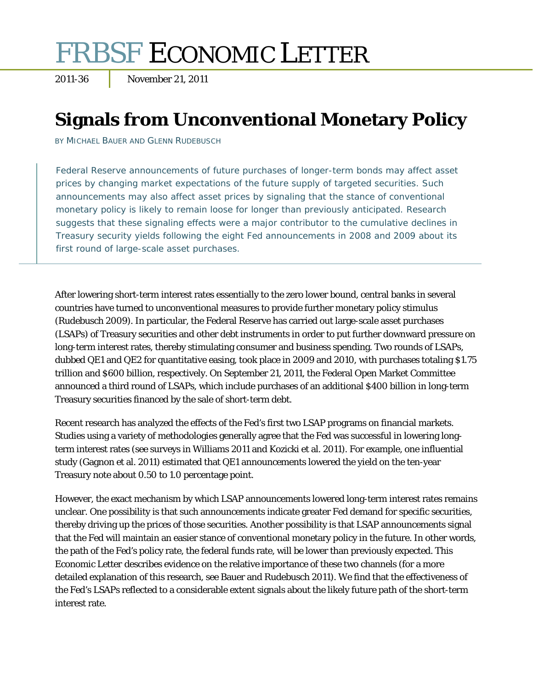# FRBSF ECONOMIC LETTER

2011-36 November 21, 2011

## **Signals from Unconventional Monetary Policy**

BY MICHAEL BAUER AND GLENN RUDEBUSCH

Federal Reserve announcements of future purchases of longer-term bonds may affect asset prices by changing market expectations of the future supply of targeted securities. Such announcements may also affect asset prices by signaling that the stance of conventional monetary policy is likely to remain loose for longer than previously anticipated. Research suggests that these signaling effects were a major contributor to the cumulative declines in Treasury security yields following the eight Fed announcements in 2008 and 2009 about its first round of large-scale asset purchases.

After lowering short-term interest rates essentially to the zero lower bound, central banks in several countries have turned to unconventional measures to provide further monetary policy stimulus (Rudebusch 2009). In particular, the Federal Reserve has carried out large-scale asset purchases (LSAPs) of Treasury securities and other debt instruments in order to put further downward pressure on long-term interest rates, thereby stimulating consumer and business spending. Two rounds of LSAPs, dubbed QE1 and QE2 for quantitative easing, took place in 2009 and 2010, with purchases totaling \$1.75 trillion and \$600 billion, respectively. On September 21, 2011, the Federal Open Market Committee announced a third round of LSAPs, which include purchases of an additional \$400 billion in long-term Treasury securities financed by the sale of short-term debt.

Recent research has analyzed the effects of the Fed's first two LSAP programs on financial markets. Studies using a variety of methodologies generally agree that the Fed was successful in lowering longterm interest rates (see surveys in Williams 2011 and Kozicki et al. 2011). For example, one influential study (Gagnon et al. 2011) estimated that QE1 announcements lowered the yield on the ten-year Treasury note about 0.50 to 1.0 percentage point.

However, the exact mechanism by which LSAP announcements lowered long-term interest rates remains unclear. One possibility is that such announcements indicate greater Fed demand for specific securities, thereby driving up the prices of those securities. Another possibility is that LSAP announcements signal that the Fed will maintain an easier stance of conventional monetary policy in the future. In other words, the path of the Fed's policy rate, the federal funds rate, will be lower than previously expected. This *Economic Letter* describes evidence on the relative importance of these two channels (for a more detailed explanation of this research, see Bauer and Rudebusch 2011). We find that the effectiveness of the Fed's LSAPs reflected to a considerable extent signals about the likely future path of the short-term interest rate.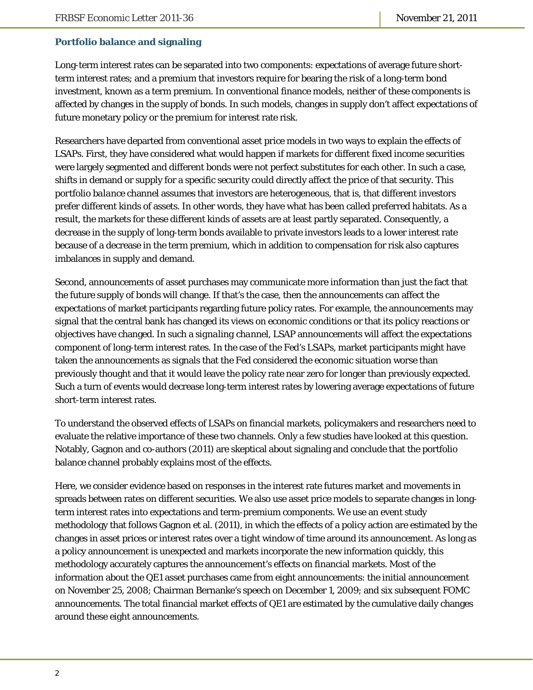### **Portfolio balance and signaling**

Long-term interest rates can be separated into two components: expectations of average future shortterm interest rates; and a premium that investors require for bearing the risk of a long-term bond investment, known as a term premium. In conventional finance models, neither of these components is affected by changes in the supply of bonds. In such models, changes in supply don't affect expectations of future monetary policy or the premium for interest rate risk.

Researchers have departed from conventional asset price models in two ways to explain the effects of LSAPs. First, they have considered what would happen if markets for different fixed income securities were largely segmented and different bonds were not perfect substitutes for each other. In such a case, shifts in demand or supply for a specific security could directly affect the price of that security. This *portfolio balance* channel assumes that investors are heterogeneous, that is, that different investors prefer different kinds of assets. In other words, they have what has been called preferred habitats. As a result, the markets for these different kinds of assets are at least partly separated. Consequently, a decrease in the supply of long-term bonds available to private investors leads to a lower interest rate because of a decrease in the term premium, which in addition to compensation for risk also captures imbalances in supply and demand.

Second, announcements of asset purchases may communicate more information than just the fact that the future supply of bonds will change. If that's the case, then the announcements can affect the expectations of market participants regarding future policy rates. For example, the announcements may signal that the central bank has changed its views on economic conditions or that its policy reactions or objectives have changed. In such a *signaling channel*, LSAP announcements will affect the expectations component of long-term interest rates. In the case of the Fed's LSAPs, market participants might have taken the announcements as signals that the Fed considered the economic situation worse than previously thought and that it would leave the policy rate near zero for longer than previously expected. Such a turn of events would decrease long-term interest rates by lowering average expectations of future short-term interest rates.

To understand the observed effects of LSAPs on financial markets, policymakers and researchers need to evaluate the relative importance of these two channels. Only a few studies have looked at this question. Notably, Gagnon and co-authors (2011) are skeptical about signaling and conclude that the portfolio balance channel probably explains most of the effects.

Here, we consider evidence based on responses in the interest rate futures market and movements in spreads between rates on different securities. We also use asset price models to separate changes in longterm interest rates into expectations and term-premium components. We use an event study methodology that follows Gagnon et al. (2011), in which the effects of a policy action are estimated by the changes in asset prices or interest rates over a tight window of time around its announcement. As long as a policy announcement is unexpected and markets incorporate the new information quickly, this methodology accurately captures the announcement's effects on financial markets. Most of the information about the QE1 asset purchases came from eight announcements: the initial announcement on November 25, 2008; Chairman Bernanke's speech on December 1, 2009; and six subsequent FOMC announcements. The total financial market effects of QE1 are estimated by the cumulative daily changes around these eight announcements.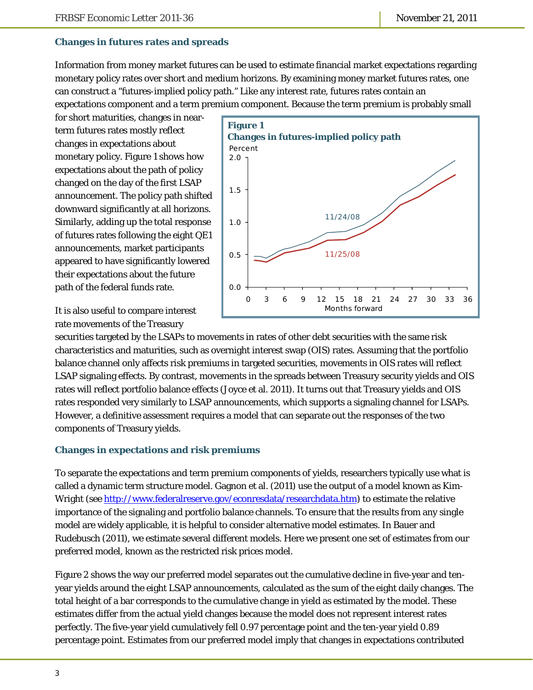#### **Changes in futures rates and spreads**

Information from money market futures can be used to estimate financial market expectations regarding monetary policy rates over short and medium horizons. By examining money market futures rates, one can construct a "futures-implied policy path." Like any interest rate, futures rates contain an expectations component and a term premium component. Because the term premium is probably small

for short maturities, changes in nearterm futures rates mostly reflect changes in expectations about monetary policy. Figure 1 shows how expectations about the path of policy changed on the day of the first LSAP announcement. The policy path shifted downward significantly at all horizons. Similarly, adding up the total response of futures rates following the eight QE1 announcements, market participants appeared to have significantly lowered their expectations about the future path of the federal funds rate.



It is also useful to compare interest rate movements of the Treasury

securities targeted by the LSAPs to movements in rates of other debt securities with the same risk characteristics and maturities, such as overnight interest swap (OIS) rates. Assuming that the portfolio balance channel only affects risk premiums in targeted securities, movements in OIS rates will reflect LSAP signaling effects. By contrast, movements in the spreads between Treasury security yields and OIS rates will reflect portfolio balance effects (Joyce et al. 2011). It turns out that Treasury yields and OIS rates responded very similarly to LSAP announcements, which supports a signaling channel for LSAPs. However, a definitive assessment requires a model that can separate out the responses of the two components of Treasury yields.

#### **Changes in expectations and risk premiums**

To separate the expectations and term premium components of yields, researchers typically use what is called a dynamic term structure model. Gagnon et al. (2011) use the output of a model known as Kim-Wright (see http://www.federalreserve.gov/econresdata/researchdata.htm) to estimate the relative importance of the signaling and portfolio balance channels. To ensure that the results from any single model are widely applicable, it is helpful to consider alternative model estimates. In Bauer and Rudebusch (2011), we estimate several different models. Here we present one set of estimates from our preferred model, known as the restricted risk prices model.

Figure 2 shows the way our preferred model separates out the cumulative decline in five-year and tenyear yields around the eight LSAP announcements, calculated as the sum of the eight daily changes. The total height of a bar corresponds to the cumulative change in yield as estimated by the model. These estimates differ from the actual yield changes because the model does not represent interest rates perfectly. The five-year yield cumulatively fell 0.97 percentage point and the ten-year yield 0.89 percentage point. Estimates from our preferred model imply that changes in expectations contributed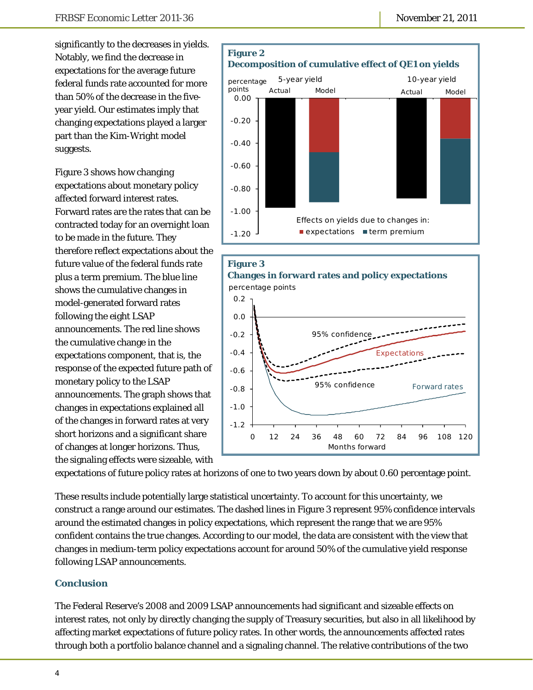significantly to the decreases in yields. Notably, we find the decrease in expectations for the average future federal funds rate accounted for more than 50% of the decrease in the fiveyear yield. Our estimates imply that changing expectations played a larger part than the Kim-Wright model suggests.

Figure 3 shows how changing expectations about monetary policy affected forward interest rates. Forward rates are the rates that can be contracted today for an overnight loan to be made in the future. They therefore reflect expectations about the future value of the federal funds rate plus a term premium. The blue line shows the cumulative changes in model-generated forward rates following the eight LSAP announcements. The red line shows the cumulative change in the expectations component, that is, the response of the expected future path of monetary policy to the LSAP announcements. The graph shows that changes in expectations explained all of the changes in forward rates at very short horizons and a significant share of changes at longer horizons. Thus, the signaling effects were sizeable, with





expectations of future policy rates at horizons of one to two years down by about 0.60 percentage point.

These results include potentially large statistical uncertainty. To account for this uncertainty, we construct a range around our estimates. The dashed lines in Figure 3 represent 95% confidence intervals around the estimated changes in policy expectations, which represent the range that we are 95% confident contains the true changes. According to our model, the data are consistent with the view that changes in medium-term policy expectations account for around 50% of the cumulative yield response following LSAP announcements.

#### **Conclusion**

The Federal Reserve's 2008 and 2009 LSAP announcements had significant and sizeable effects on interest rates, not only by directly changing the supply of Treasury securities, but also in all likelihood by affecting market expectations of future policy rates. In other words, the announcements affected rates through both a portfolio balance channel and a signaling channel. The relative contributions of the two